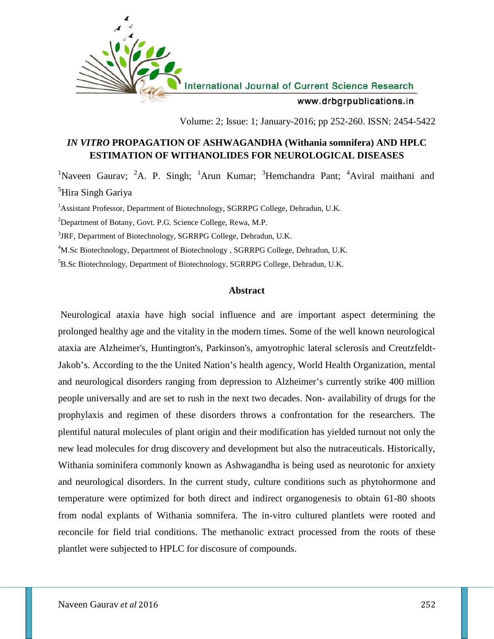

Volume: 2; Issue: 1; January-2016; pp 252-260. ISSN: 2454-5422

## *IN VITRO* **PROPAGATION OF ASHWAGANDHA (Withania somnifera) AND HPLC ESTIMATION OF WITHANOLIDES FOR NEUROLOGICAL DISEASES**

<sup>1</sup>Naveen Gaurav; <sup>2</sup>A. P. Singh; <sup>1</sup>Arun Kumar; <sup>3</sup>Hemchandra Pant; <sup>4</sup>Aviral maithani and <sup>5</sup>Hira Singh Gariya

<sup>1</sup>Assistant Professor, Department of Biotechnology, SGRRPG College, Dehradun, U.K.

<sup>2</sup>Department of Botany, Govt. P.G. Science College, Rewa, M.P.

<sup>3</sup>JRF, Department of Biotechnology, SGRRPG College, Dehradun, U.K.

<sup>4</sup>M.Sc Biotechnology, Department of Biotechnology , SGRRPG College, Dehradun, U.K.

<sup>5</sup>B.Sc Biotechnology, Department of Biotechnology, SGRRPG College, Dehradun, U.K.

### **Abstract**

Neurological ataxia have high social influence and are important aspect determining the prolonged healthy age and the vitality in the modern times. Some of the well known neurological ataxia are Alzheimer's, Huntington's, Parkinson's, amyotrophic lateral sclerosis and Creutzfeldt- Jakob's. According to the the United Nation's health agency, World Health Organization, mental and neurological disorders ranging from depression to Alzheimer's currently strike 400 million people universally and are set to rush in the next two decades. Non- availability of drugs for the prophylaxis and regimen of these disorders throws a confrontation for the researchers. The plentiful natural molecules of plant origin and their modification has yielded turnout not only the new lead molecules for drug discovery and development but also the nutraceuticals. Historically, Withania sominifera commonly known as Ashwagandha is being used as neurotonic for anxiety and neurological disorders. In the current study, culture conditions such as phytohormone and temperature were optimized for both direct and indirect organogenesis to obtain 61-80 shoots from nodal explants of Withania somnifera. The in-vitro cultured plantlets were rooted and reconcile for field trial conditions. The methanolic extract processed from the roots of these plantlet were subjected to HPLC for discosure of compounds.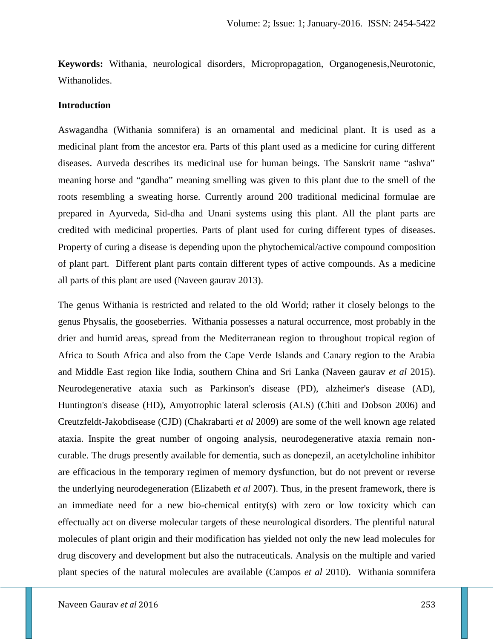**Keywords:** Withania, neurological disorders, Micropropagation, Organogenesis,Neurotonic, Withanolides.

#### **Introduction**

Aswagandha (Withania somnifera) is an ornamental and medicinal plant. It is used as a medicinal plant from the ancestor era. Parts of this plant used as a medicine for curing different diseases. Aurveda describes its medicinal use for human beings. The Sanskrit name "ashva" meaning horse and "gandha" meaning smelling was given to this plant due to the smell of the roots resembling a sweating horse. Currently around 200 traditional medicinal formulae are prepared in Ayurveda, Sid-dha and Unani systems using this plant. All the plant parts are credited with medicinal properties. Parts of plant used for curing different types of diseases. Property of curing a disease is depending upon the phytochemical/active compound composition of plant part. Different plant parts contain different types of active compounds. As a medicine all parts of this plant are used (Naveen gaurav 2013).

The genus Withania is restricted and related to the old World; rather it closely belongs to the genus Physalis, the gooseberries. Withania possesses a natural occurrence, most probably in the drier and humid areas, spread from the Mediterranean region to throughout tropical region of Africa to South Africa and also from the Cape Verde Islands and Canary region to the Arabia and Middle East region like India, southern China and Sri Lanka (Naveen gaurav *et al* 2015). Neurodegenerative ataxia such as Parkinson's disease (PD), alzheimer's disease (AD), Huntington's disease (HD), Amyotrophic lateral sclerosis (ALS) (Chiti and Dobson 2006) and Creutzfeldt-Jakobdisease (CJD) (Chakrabarti *et al* 2009) are some of the well known age related ataxia. Inspite the great number of ongoing analysis, neurodegenerative ataxia remain non curable. The drugs presently available for dementia, such as donepezil, an acetylcholine inhibitor are efficacious in the temporary regimen of memory dysfunction, but do not prevent or reverse the underlying neurodegeneration (Elizabeth *et al* 2007). Thus, in the present framework, there is an immediate need for a new bio-chemical entity(s) with zero or low toxicity which can effectually act on diverse molecular targets of these neurological disorders. The plentiful natural molecules of plant origin and their modification has yielded not only the new lead molecules for drug discovery and development but also the nutraceuticals. Analysis on the multiple and varied plant species of the natural molecules are available (Campos *et al* 2010). Withania somnifera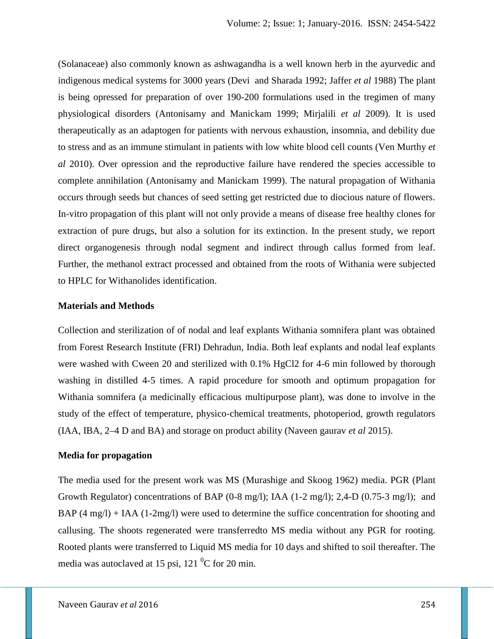(Solanaceae) also commonly known as ashwagandha is a well known herb in the ayurvedic and indigenous medical systems for 3000 years (Devi and Sharada 1992; Jaffer *et al* 1988) The plant is being opressed for preparation of over 190-200 formulations used in the tregimen of many physiological disorders (Antonisamy and Manickam 1999; Mirjalili *et al* 2009). It is used therapeutically as an adaptogen for patients with nervous exhaustion, insomnia, and debility due to stress and as an immune stimulant in patients with low white blood cell counts (Ven Murthy *et al* 2010). Over opression and the reproductive failure have rendered the species accessible to complete annihilation (Antonisamy and Manickam 1999). The natural propagation of Withania occurs through seeds but chances of seed setting get restricted due to diocious nature of flowers. In-vitro propagation of this plant will not only provide a means of disease free healthy clones for extraction of pure drugs, but also a solution for its extinction. In the present study, we report direct organogenesis through nodal segment and indirect through callus formed from leaf. Further, the methanol extract processed and obtained from the roots of Withania were subjected to HPLC for Withanolides identification.

#### **Materials and Methods**

Collection and sterilization of of nodal and leaf explants Withania somnifera plant was obtained from Forest Research Institute (FRI) Dehradun, India. Both leaf explants and nodal leaf explants were washed with Cween 20 and sterilized with 0.1% HgCl2 for 4-6 min followed by thorough washing in distilled 4-5 times. A rapid procedure for smooth and optimum propagation for Withania somnifera (a medicinally efficacious multipurpose plant), was done to involve in the study of the effect of temperature, physico-chemical treatments, photoperiod, growth regulators (IAA, IBA, 2–4 D and BA) and storage on product ability (Naveen gaurav *et al* 2015).

#### **Media for propagation**

The media used for the present work was MS (Murashige and Skoog 1962) media. PGR (Plant Growth Regulator) concentrations of BAP (0-8 mg/l); IAA (1-2 mg/l); 2,4-D (0.75-3 mg/l); and BAP  $(4 \text{ mg/l})$  + IAA  $(1\text{-}2\text{mg/l})$  were used to determine the suffice concentration for shooting and callusing. The shoots regenerated were transferredto MS media without any PGR for rooting. Rooted plants were transferred to Liquid MS media for 10 days and shifted to soil thereafter. The media was autoclaved at 15 psi, 121  $\mathrm{^0C}$  for 20 min.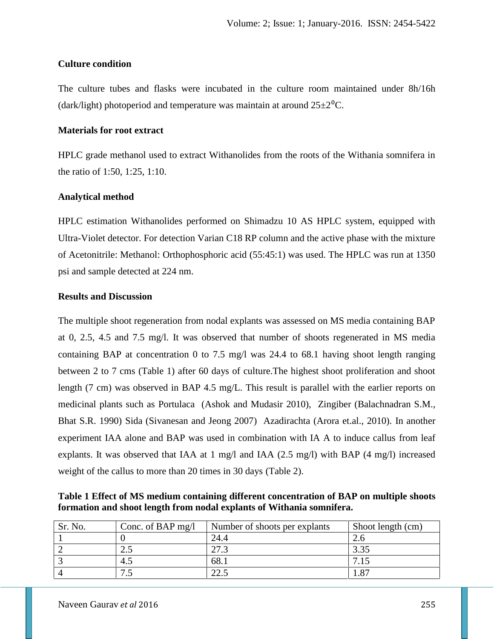## **Culture condition**

The culture tubes and flasks were incubated in the culture room maintained under 8h/16h (dark/light) photoperiod and temperature was maintain at around  $25\pm2\degree C$ .

## **Materials for root extract**

HPLC grade methanol used to extract Withanolides from the roots of the Withania somnifera in the ratio of 1:50, 1:25, 1:10.

## **Analytical method**

HPLC estimation Withanolides performed on Shimadzu 10 AS HPLC system, equipped with Ultra-Violet detector. For detection Varian C18 RP column and the active phase with the mixture of Acetonitrile: Methanol: Orthophosphoric acid (55:45:1) was used. The HPLC was run at 1350 psi and sample detected at 224 nm.

## **Results and Discussion**

The multiple shoot regeneration from nodal explants was assessed on MS media containing BAP at 0, 2.5, 4.5 and 7.5 mg/l. It was observed that number of shoots regenerated in MS media containing BAP at concentration 0 to 7.5 mg/l was 24.4 to 68.1 having shoot length ranging between 2 to 7 cms (Table 1) after 60 days of culture.The highest shoot proliferation and shoot length (7 cm) was observed in BAP 4.5 mg/L. This result is parallel with the earlier reports on medicinal plants such as Portulaca (Ashok and Mudasir 2010), Zingiber (Balachnadran S.M., Bhat S.R. 1990) Sida (Sivanesan and Jeong 2007) Azadirachta (Arora et.al., 2010). In another experiment IAA alone and BAP was used in combination with IA A to induce callus from leaf explants. It was observed that IAA at 1 mg/l and IAA (2.5 mg/l) with BAP (4 mg/l) increased weight of the callus to more than 20 times in 30 days (Table 2).

**Table 1 Effect of MS medium containing different concentration of BAP on multiple shoots formation and shoot length from nodal explants of Withania somnifera.**

| Sr. No. | Conc. of BAP $mg/l$ | Number of shoots per explants | Shoot length (cm) |
|---------|---------------------|-------------------------------|-------------------|
|         |                     | 24.4                          |                   |
|         | ر                   | 27.3                          | 3.35              |
|         | 4.5                 | 68.1                          | 7.15              |
|         | ت                   | 22.5                          | 87،،              |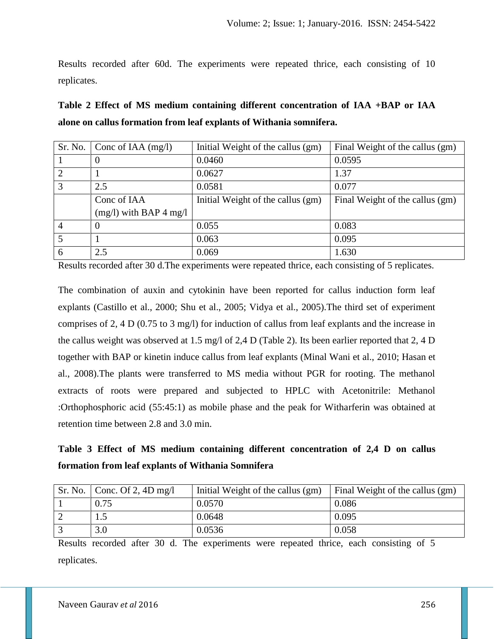Results recorded after 60d. The experiments were repeated thrice, each consisting of 10 replicates.

| Table 2 Effect of MS medium containing different concentration of IAA +BAP or IAA |  |
|-----------------------------------------------------------------------------------|--|
| alone on callus formation from leaf explants of Withania somnifera.               |  |

| Sr. No. | Conc of IAA $(mg/l)$     | Initial Weight of the callus (gm) | Final Weight of the callus (gm) |
|---------|--------------------------|-----------------------------------|---------------------------------|
|         | $\theta$                 | 0.0460                            | 0.0595                          |
|         |                          | 0.0627                            | 1.37                            |
| 3       | 2.5                      | 0.0581                            | 0.077                           |
|         | Conc of IAA              | Initial Weight of the callus (gm) | Final Weight of the callus (gm) |
|         | $(mg/l)$ with BAP 4 mg/l |                                   |                                 |
|         | $\Omega$                 | 0.055                             | 0.083                           |
|         |                          | 0.063                             | 0.095                           |
| 6       | 2.5                      | 0.069                             | 1.630                           |

Results recorded after 30 d.The experiments were repeated thrice, each consisting of 5 replicates.

The combination of auxin and cytokinin have been reported for callus induction form leaf explants (Castillo et al., 2000; Shu et al., 2005; Vidya et al., 2005).The third set of experiment comprises of 2, 4 D (0.75 to 3 mg/l) for induction of callus from leaf explants and the increase in the callus weight was observed at 1.5 mg/l of 2,4 D (Table 2). Its been earlier reported that 2, 4 D together with BAP or kinetin induce callus from leaf explants (Minal Wani et al., 2010; Hasan et al., 2008).The plants were transferred to MS media without PGR for rooting. The methanol extracts of roots were prepared and subjected to HPLC with Acetonitrile: Methanol :Orthophosphoric acid (55:45:1) as mobile phase and the peak for Witharferin was obtained at retention time between 2.8 and 3.0 min.

# **Table 3 Effect of MS medium containing different concentration of 2,4 D on callus formation from leaf explants of Withania Somnifera**

| Sr. No. $\vert$ Conc. Of 2, 4D mg/l | Initial Weight of the callus (gm) | Final Weight of the callus (gm) |
|-------------------------------------|-----------------------------------|---------------------------------|
| 0.75                                | 0.0570                            | 0.086                           |
| ر 1                                 | 0.0648                            | 0.095                           |
| 3.0                                 | 0.0536                            | 0.058                           |

Results recorded after 30 d. The experiments were repeated thrice, each consisting of 5 replicates.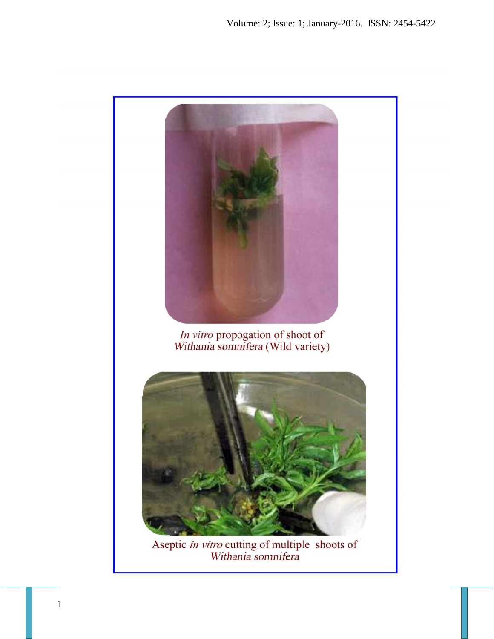

Aseptic *in vitro* cutting of multiple shoots of<br>Withania somnifera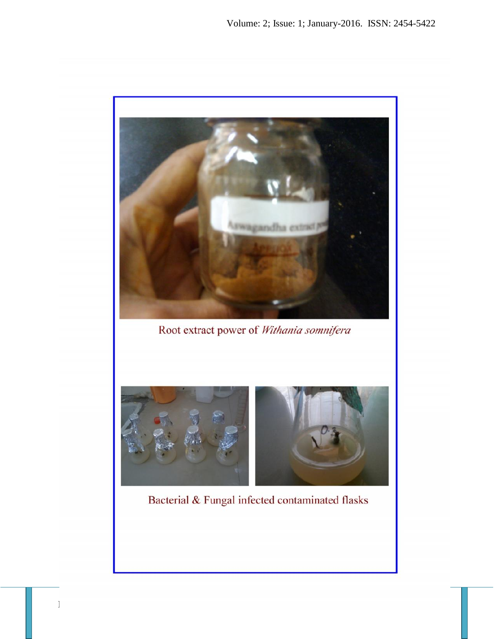

Bacterial & Fungal infected contaminated flasks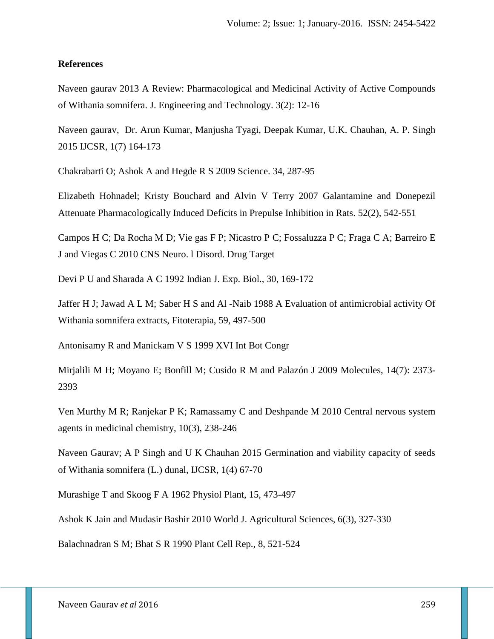#### **References**

Naveen gaurav 2013 A Review: Pharmacological and Medicinal Activity of Active Compounds of Withania somnifera. J. Engineering and Technology. 3(2): 12-16

Naveen gaurav, Dr. Arun Kumar, Manjusha Tyagi, Deepak Kumar, U.K. Chauhan, A. P. Singh 2015 IJCSR, 1(7) 164-173

Chakrabarti O; Ashok A and Hegde R S 2009 Science. 34, 287-95

Elizabeth Hohnadel; Kristy Bouchard and Alvin V Terry 2007 Galantamine and Donepezil Attenuate Pharmacologically Induced Deficits in Prepulse Inhibition in Rats. 52(2), 542-551

Campos H C; Da Rocha M D; Vie gas F P; Nicastro P C; Fossaluzza P C; Fraga C A; Barreiro E J and Viegas C 2010 CNS Neuro. l Disord. Drug Target

Devi P U and Sharada A C 1992 Indian J. Exp. Biol., 30, 169-172

Jaffer H J; Jawad A L M; Saber H S and Al -Naib 1988 A Evaluation of antimicrobial activity Of Withania somnifera extracts, Fitoterapia, 59, 497-500

Antonisamy R and Manickam V S 1999 XVI Int Bot Congr

Mirjalili M H; Moyano E; Bonfill M; Cusido R M and Palazón J 2009 Molecules, 14(7): 2373- 2393

Ven Murthy M R; Ranjekar P K; Ramassamy C and Deshpande M 2010 Central nervous system agents in medicinal chemistry, 10(3), 238-246

Naveen Gaurav; A P Singh and U K Chauhan 2015 Germination and viability capacity of seeds of Withania somnifera (L.) dunal, IJCSR, 1(4) 67-70

Murashige T and Skoog F A 1962 Physiol Plant, 15, 473-497

Ashok K Jain and Mudasir Bashir 2010 World J. Agricultural Sciences, 6(3), 327-330

Balachnadran S M; Bhat S R 1990 Plant Cell Rep., 8, 521-524